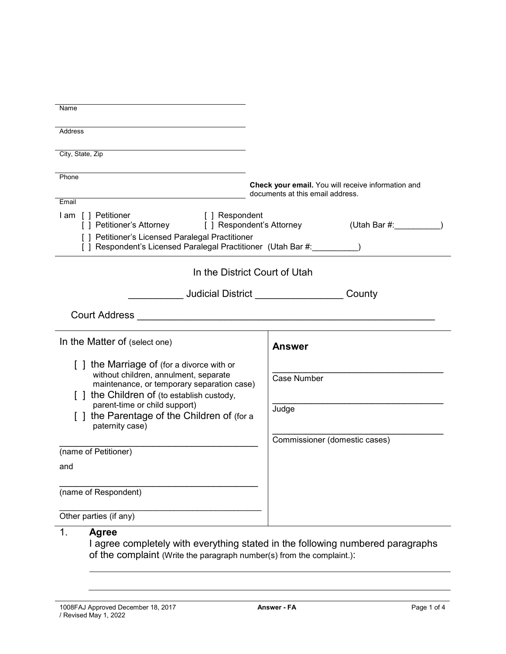| Name                                                                                                              |                                                                                        |
|-------------------------------------------------------------------------------------------------------------------|----------------------------------------------------------------------------------------|
| Address                                                                                                           |                                                                                        |
|                                                                                                                   |                                                                                        |
| City, State, Zip                                                                                                  |                                                                                        |
| Phone                                                                                                             |                                                                                        |
|                                                                                                                   | Check your email. You will receive information and<br>documents at this email address. |
| Email                                                                                                             |                                                                                        |
| I am [ ] Petitioner<br>[ ] Respondent                                                                             | [] Petitioner's Attorney [] Respondent's Attorney (Utah Bar #: 1982)                   |
| [ ] Petitioner's Licensed Paralegal Practitioner<br>[ ] Respondent's Licensed Paralegal Practitioner (Utah Bar #: |                                                                                        |
|                                                                                                                   | In the District Court of Utah                                                          |
|                                                                                                                   |                                                                                        |
| Judicial District ________________<br>County                                                                      |                                                                                        |
|                                                                                                                   |                                                                                        |
| In the Matter of (select one)                                                                                     | <b>Answer</b>                                                                          |
| [] the Marriage of (for a divorce with or                                                                         |                                                                                        |
| without children, annulment, separate<br>maintenance, or temporary separation case)                               | <b>Case Number</b>                                                                     |
| [ ] the Children of (to establish custody,                                                                        |                                                                                        |
| parent-time or child support)                                                                                     | Judge                                                                                  |
| [] the Parentage of the Children of (for a                                                                        |                                                                                        |
| paternity case)                                                                                                   |                                                                                        |
| (name of Petitioner)                                                                                              | Commissioner (domestic cases)                                                          |
| and                                                                                                               |                                                                                        |
|                                                                                                                   |                                                                                        |
| (name of Respondent)                                                                                              |                                                                                        |
|                                                                                                                   |                                                                                        |
| Other parties (if any)                                                                                            |                                                                                        |
| 1.<br><b>Agree</b>                                                                                                |                                                                                        |

I agree completely with everything stated in the following numbered paragraphs of the complaint (Write the paragraph number(s) from the complaint.):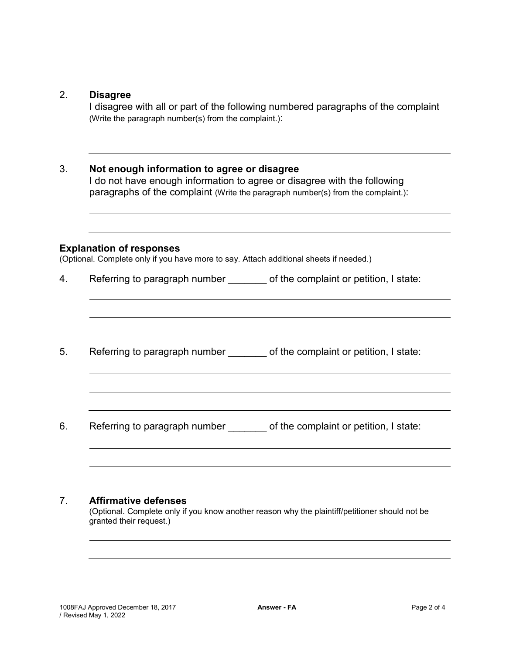## 2. **Disagree**

I disagree with all or part of the following numbered paragraphs of the complaint (Write the paragraph number(s) from the complaint.):

## 3. **Not enough information to agree or disagree**

I do not have enough information to agree or disagree with the following paragraphs of the complaint (Write the paragraph number(s) from the complaint.):

#### **Explanation of responses**

(Optional. Complete only if you have more to say. Attach additional sheets if needed.)

4. Referring to paragraph number of the complaint or petition, I state:

5. Referring to paragraph number \_\_\_\_\_\_ of the complaint or petition, I state:

6. Referring to paragraph number \_\_\_\_\_\_\_ of the complaint or petition, I state:

### 7. **Affirmative defenses**

(Optional. Complete only if you know another reason why the plaintiff/petitioner should not be granted their request.)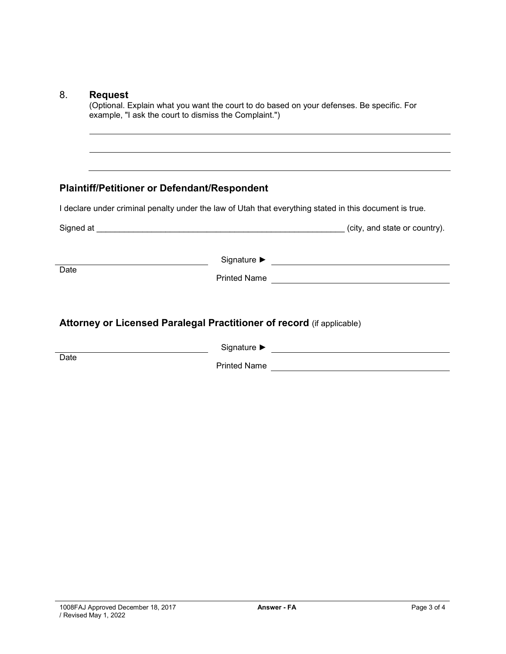Date

(Optional. Explain what you want the court to do based on your defenses. Be specific. For example, "I ask the court to dismiss the Complaint.")

# **Plaintiff/Petitioner or Defendant/Respondent**

I declare under criminal penalty under the law of Utah that everything stated in this document is true.

<u> 1989 - Johann Barn, mars ann an t-Amhain Aonaich an t-Aonaich an t-Aonaich ann an t-Aonaich ann an t-Aonaich</u>

| Signed at                                                             |                                                        | (city, and state or country). |
|-----------------------------------------------------------------------|--------------------------------------------------------|-------------------------------|
| Date                                                                  | Signature $\blacktriangleright$<br><b>Printed Name</b> |                               |
| Attorney or Licensed Paralegal Practitioner of record (if applicable) | $S$ ianatura $\blacktriangleright$                     |                               |

Signature ► <u> 1980 - Johann Stoff, fransk politik (d. 1980)</u> Printed Name